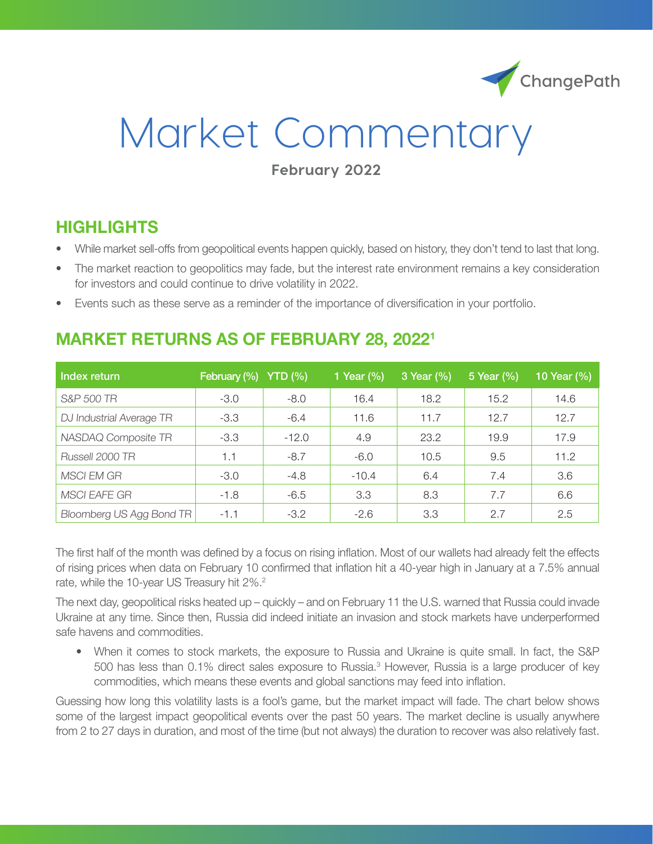

# Market Commentary

#### **February 2022**

### **HIGHLIGHTS**

- While market sell-offs from geopolitical events happen quickly, based on history, they don't tend to last that long.
- The market reaction to geopolitics may fade, but the interest rate environment remains a key consideration for investors and could continue to drive volatility in 2022.
- Events such as these serve as a reminder of the importance of diversification in your portfolio.

#### **MARKET RETURNS AS OF FEBRUARY 28, 20221**

| Index return             | February (%) | YTD(%)  | 1 Year $(\% )$ | 3 Year (%) | 5 Year (%) | 10 Year (%) |
|--------------------------|--------------|---------|----------------|------------|------------|-------------|
| S&P 500 TR               | $-3.0$       | $-8.0$  | 16.4           | 18.2       | 15.2       | 14.6        |
| DJ Industrial Average TR | $-3.3$       | $-6.4$  | 11.6           | 11.7       | 12.7       | 12.7        |
| NASDAQ Composite TR      | $-3.3$       | $-12.0$ | 4.9            | 23.2       | 19.9       | 17.9        |
| Russell 2000 TR          | 1.1          | $-8.7$  | $-6.0$         | 10.5       | 9.5        | 11.2        |
| <b>MSCI EM GR</b>        | $-3.0$       | $-4.8$  | $-10.4$        | 6.4        | 7.4        | 3.6         |
| <b>MSCI EAFE GR</b>      | $-1.8$       | $-6.5$  | 3.3            | 8.3        | 7.7        | 6.6         |
| Bloomberg US Agg Bond TR | $-1.1$       | $-3.2$  | $-2.6$         | 3.3        | 2.7        | 2.5         |

The first half of the month was defined by a focus on rising inflation. Most of our wallets had already felt the effects of rising prices when data on February 10 confirmed that inflation hit a 40-year high in January at a 7.5% annual rate, while the 10-year US Treasury hit 2%.<sup>2</sup>

The next day, geopolitical risks heated up – quickly – and on February 11 the U.S. warned that Russia could invade Ukraine at any time. Since then, Russia did indeed initiate an invasion and stock markets have underperformed safe havens and commodities.

• When it comes to stock markets, the exposure to Russia and Ukraine is quite small. In fact, the S&P 500 has less than 0.1% direct sales exposure to Russia.<sup>3</sup> However, Russia is a large producer of key commodities, which means these events and global sanctions may feed into inflation.

Guessing how long this volatility lasts is a fool's game, but the market impact will fade. The chart below shows some of the largest impact geopolitical events over the past 50 years. The market decline is usually anywhere from 2 to 27 days in duration, and most of the time (but not always) the duration to recover was also relatively fast.